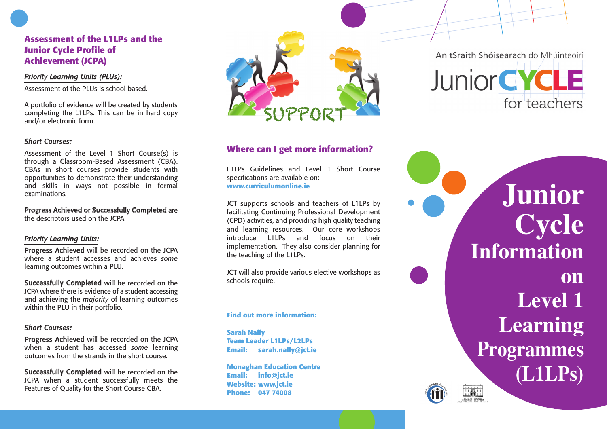# Assessment of the L1LPs and the Junior Cycle Profile of **A c h i e v e m e n t ( J C PA )**

### *Pr i o r i ty L e a rn in g U n i ts (P L Us) :*

Assessment of the PLUs is school based.

A portfolio of evidence will be created by students completing the L1LPs. This can be in hard copy a n d / o r e l e c t r o n i c f o r m .

### *S h o r t C o u rs e s :*

Assessment of the Level 1 Short Course(s) is through a Classroom-Based Assessment (CBA). CBAs in short courses provide students with opportunities to demonstrate their understanding and skills in ways not possible in formal examinations.

Progress Achieved or Successfully Completed are the descriptors used on the JCPA.

### *Pr i o r i ty L e a rn in g U n i ts :*

**Progress Achieved** will be recorded on the JCPA where a student accesses and achieves some learning outcomes within a PLU.

**Successfully Completed** will be recorded on the JCPA where there is evidence of a student accessing and achieving the *majority* of learning outcomes within the PLU in their portfolio.

### *S h o r t C o u rs e s :*

**Progress Achieved** will be recorded on the JCPA when a student has accessed *some* learning outcomes from the strands in the short course.

**Successfully Completed** will be recorded on the JCPA when a student successfully meets the Features of Quality for the Short Course CBA.



# Where can I get more information?

L1LPs Guidelines and Level 1 Short Course specifications are available on: www.curriculumonline.ie

JCT supports schools and teachers of L1LPs by facilitating Continuing Professional Development (CPD) activities, and providing high quality teaching and learning resources. Our core workshops introduce L1LPs and focus on their implementation. They also consider planning for the teaching of the L1LPs.

JCT will also provide various elective workshops as schools require.

### **Find out more information:**

**S a r a h N a l l y** Team Leader L1LPs/L2LPs **E m a i l : s a r a h . n a l l y @ j c t . i e**

Monaghan Education Centre **E m a i l : i n f o @ j c t . i e We b s i t e : www. j c t . i e P h o n e : 0 4 7 7 4 0 0 8**

An tSraith Shóisearach do Mhúinteoirí



**J u n i o r C y c l e Information o n L e v e l 1** Learning **Programmes ( L 1 L P s )**